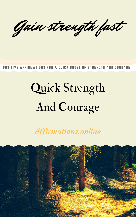#### [Affirmations.online](http://www.affirmations.online/)



Quick Strength And Courage

Gain strength fast

#### POSITIVE AFFIRMATIONS FOR A QUICK BOOST OF STRENGTH AND COURAGE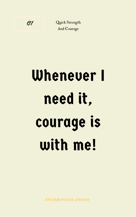### Whenever I need it,

### courage is with me!

AFF[IRMAT](http://www.affirmations.online/)IONS. ONLINE

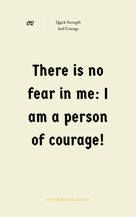### There is no fear in me: I



### am a person of courage!

AFF[IRMAT](http://www.affirmations.online/)IONS. ONLINE

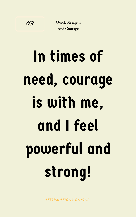## In times of need, courage is with me,

## and I feel powerful and

### strong!

AFF[IRMAT](http://www.affirmations.online/)IONS. ONLINE

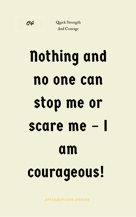## Nothing and no one can stop me or

### scare me – am

### courageous!

AFF[IRMAT](http://www.affirmations.online/)IONS, ONLINE

04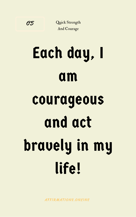### Each day, I am

### and act bravely in my life!

AFF[IRMAT](http://www.affirmations.online/)IONS. ONLINE

### courageous

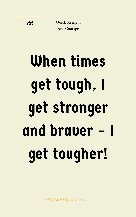## When times get tough, I get stronger

# and braver – I get tougher!

AFF[IRMAT](http://www.affirmations.online/)IONS. ONLINE

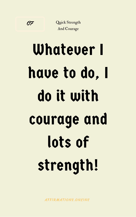## Whatever I have to do, I do it with

## courage and lots of strength!

AFF[IRMAT](http://www.affirmations.online/)IONS. ONLINE

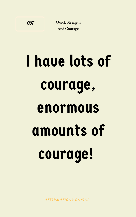## I have lots of courage, enormous

### amounts of courage!

AFF[IRMAT](http://www.affirmations.online/)IONS. ONLINE

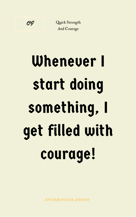## Whenever I start doing something, I

# get filled with

### courage!

AFF[IRMAT](http://www.affirmations.online/)IONS. ONLINE

09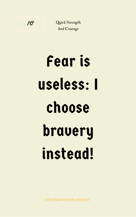## Fear is useless: I

choose

### bravery instead!

AFF[IRMAT](http://www.affirmations.online/)IONS. ONLINE

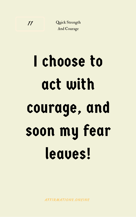## I choose to act with courage, and



AFF[IRMAT](http://www.affirmations.online/)IONS. ONLINE

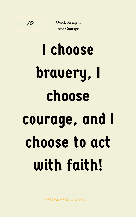## I choose bravery, I choose



### courage, and I choose to act with faith!

AFF[IRMAT](http://www.affirmations.online/)IONS. ONLINE

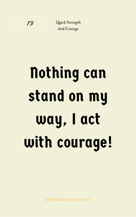## Nothing can stand on my

### way, I act with courage!

AFF[IRMAT](http://www.affirmations.online/)IONS. ONLINE

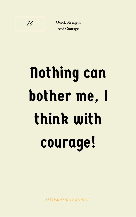# Nothing can bother me, I

#### think with

### courage!

AFF[IRMAT](http://www.affirmations.online/)IONS. ONLINE

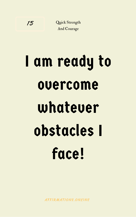## I am ready to overcome whatever

### obstacles I

### face!

AFF[IRMAT](http://www.affirmations.online/)IONS. ONLINE

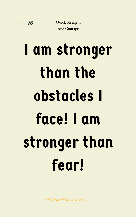## I am stronger than the obstacles I



#### face! I am

### stronger than

fear!

AFF[IRMAT](http://www.affirmations.online/)IONS. ONLINE



16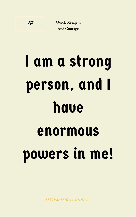### I am a strong person, and I have

### enormous powers in me!

AF F [IRMAT](http://www.affirmations.online/) IONS .ONL INE

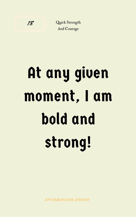# At any given moment, I am

#### bold and

### strong!

AFF[IRMAT](http://www.affirmations.online/)IONS. ONLINE

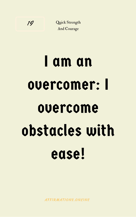### I am an overcomer: I overcome

### obstacles with

#### ease!

AFF[IRMAT](http://www.affirmations.online/)IONS. ONLINE

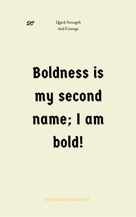## Boldness is my second

### name; I am bold!

AFF[IRMAT](http://www.affirmations.online/)IONS. ONLINE

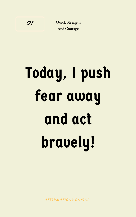## Today, I push fear away

### and act bravely!

AFF[IRMAT](http://www.affirmations.online/)IONS. ONLINE

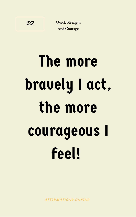## The more bravely I act, the more

# courageous I

feel!

AFF[IRMAT](http://www.affirmations.online/)IONS. ONLINE

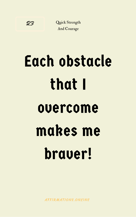# Each obstacle that I

#### overcome

### makes me

### braver!

AFF[IRMAT](http://www.affirmations.online/)IONS. ONLINE

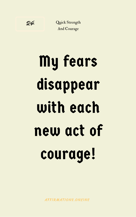## My fears disappear with each

## new act of courage!

AFF[IRMAT](http://www.affirmations.online/)IONS. ONLINE

24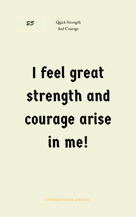## I feel great strength and

### courage arise in me!

AFF[IRMAT](http://www.affirmations.online/)IONS. ONLINE

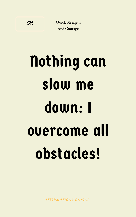### Nothing can slow me down: I

### overcome all obstacles!

AFF[IRMAT](http://www.affirmations.online/)IONS. ONLINE

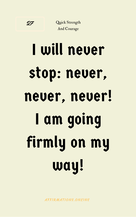## I will never stop: never, never, never!

## I am going firmly on my way!

AFF[IRMAT](http://www.affirmations.online/)IONS. ONLINE

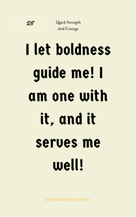## I let boldness guide me! I am one with



### serves me well!

AFF[IRMAT](http://www.affirmations.online/)IONS. ONLINE

#### it, and it